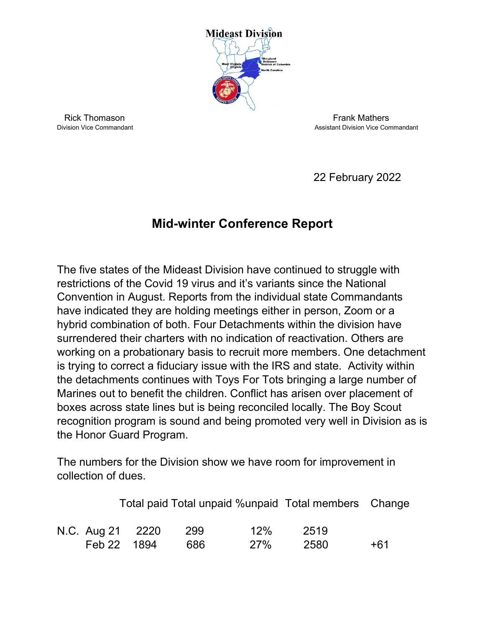

Rick Thomason Frank Mathers<br>Division Vice Commandant Assistant Division Vice Correct Assistant Division Vice Cor

Assistant Division Vice Commandant

22 February 2022

## **Mid-winter Conference Report**

The five states of the Mideast Division have continued to struggle with restrictions of the Covid 19 virus and it's variants since the National Convention in August. Reports from the individual state Commandants have indicated they are holding meetings either in person, Zoom or a hybrid combination of both. Four Detachments within the division have surrendered their charters with no indication of reactivation. Others are working on a probationary basis to recruit more members. One detachment is trying to correct a fiduciary issue with the IRS and state. Activity within the detachments continues with Toys For Tots bringing a large number of Marines out to benefit the children. Conflict has arisen over placement of boxes across state lines but is being reconciled locally. The Boy Scout recognition program is sound and being promoted very well in Division as is the Honor Guard Program.

The numbers for the Division show we have room for improvement in collection of dues.

|             |                  |      |            | Total paid Total unpaid %unpaid Total members Change |     |
|-------------|------------------|------|------------|------------------------------------------------------|-----|
|             | N.C. Aug 21 2220 | -299 | 12%        | 2519                                                 |     |
| Feb 22 1894 |                  | 686  | <b>27%</b> | 2580                                                 | +61 |